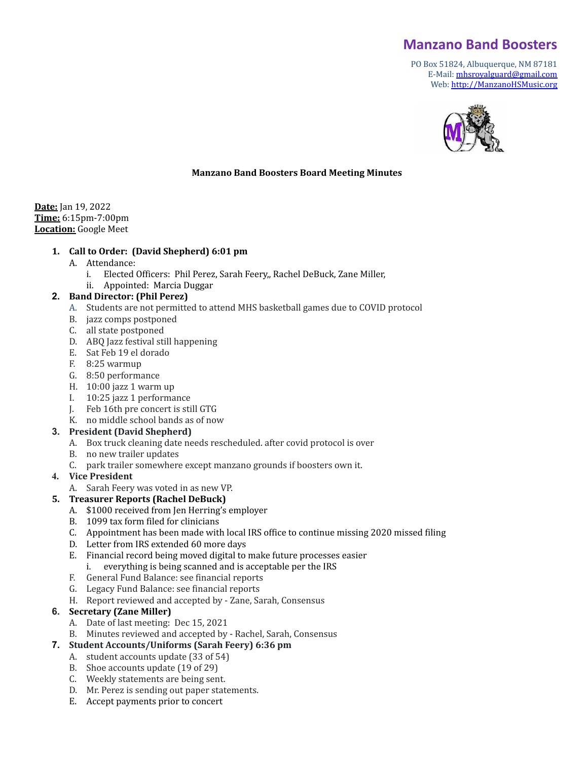# **Manzano Band Boosters**

PO Box 51824, Albuquerque, NM 87181 E-Mail: [mhsroyalguard@gmail.com](mailto:mhsroyalguard@gmail.com) Web: [http://ManzanoHSMusic.org](http://manzanohsmusic.org)



### **Manzano Band Boosters Board Meeting Minutes**

**Date:** Jan 19, 2022 **Time:** 6:15pm-7:00pm **Location:** Google Meet

#### **1. Call to Order: (David Shepherd) 6:01 pm**

- A. Attendance:
	- i. Elected Officers: Phil Perez, Sarah Feery,, Rachel DeBuck, Zane Miller,
	- ii. Appointed: Marcia Duggar

### **2. Band Director: (Phil Perez)**

- A. Students are not permitted to attend MHS basketball games due to COVID protocol
- B. jazz comps postponed
- C. all state postponed
- D. ABQ Jazz festival still happening
- E. Sat Feb 19 el dorado
- F. 8:25 warmup
- G. 8:50 performance
- H. 10:00 jazz 1 warm up
- I. 10:25 jazz 1 performance
- J. Feb 16th pre concert is still GTG
- K. no middle school bands as of now

### **3. President (David Shepherd)**

- A. Box truck cleaning date needs rescheduled. after covid protocol is over
- B. no new trailer updates
- C. park trailer somewhere except manzano grounds if boosters own it.

### **4. Vice President**

A. Sarah Feery was voted in as new VP.

### **5. Treasurer Reports (Rachel DeBuck)**

- A. \$1000 received from Jen Herring's employer
- B. 1099 tax form filed for clinicians
- C. Appointment has been made with local IRS office to continue missing 2020 missed filing
- D. Letter from IRS extended 60 more days
- E. Financial record being moved digital to make future processes easier i. everything is being scanned and is acceptable per the IRS
- F. General Fund Balance: see financial reports
- G. Legacy Fund Balance: see financial reports
- H. Report reviewed and accepted by Zane, Sarah, Consensus

### **6. Secretary (Zane Miller)**

- A. Date of last meeting: Dec 15, 2021
- B. Minutes reviewed and accepted by Rachel, Sarah, Consensus
- **7. Student Accounts/Uniforms (Sarah Feery) 6:36 pm**
	- A. student accounts update (33 of 54)
		- B. Shoe accounts update (19 of 29)
		- C. Weekly statements are being sent.
		- D. Mr. Perez is sending out paper statements.
		- E. Accept payments prior to concert